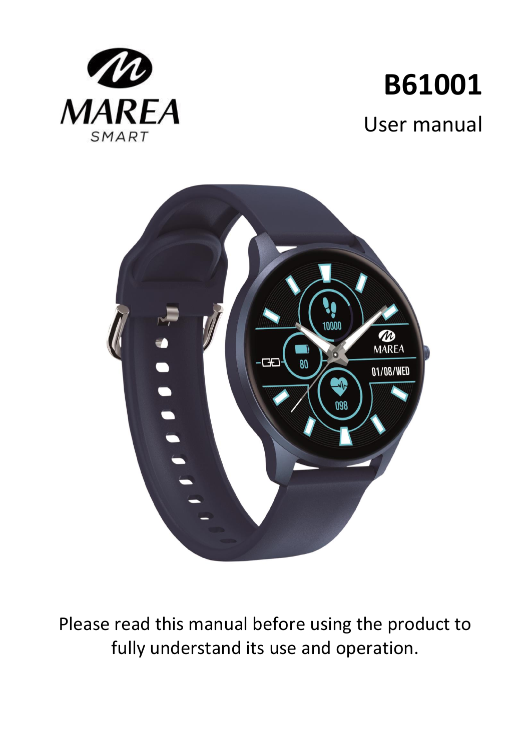

# **B61001** User manual



Please read this manual before using the product to fully understand its use and operation.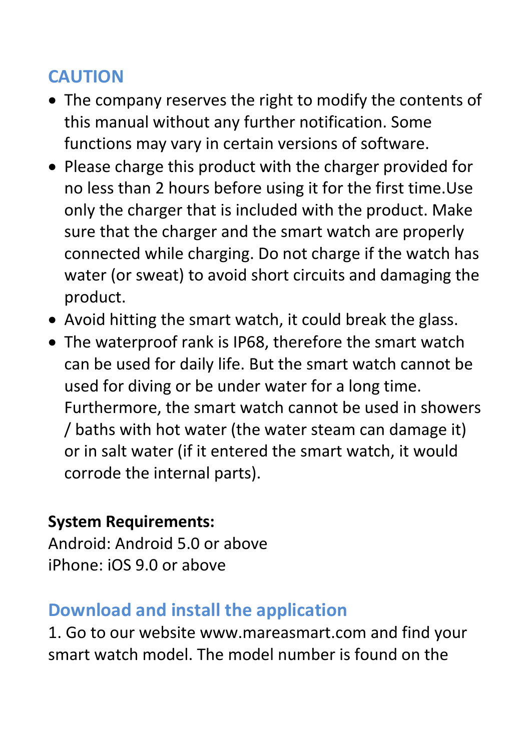# **CAUTION**

- The company reserves the right to modify the contents of this manual without any further notification. Some functions may vary in certain versions of software.
- Please charge this product with the charger provided for no less than 2 hours before using it for the first time.Use only the charger that is included with the product. Make sure that the charger and the smart watch are properly connected while charging. Do not charge if the watch has water (or sweat) to avoid short circuits and damaging the product.
- Avoid hitting the smart watch, it could break the glass.
- The waterproof rank is IP68, therefore the smart watch can be used for daily life. But the smart watch cannot be used for diving or be under water for a long time. Furthermore, the smart watch cannot be used in showers / baths with hot water (the water steam can damage it) or in salt water (if it entered the smart watch, it would corrode the internal parts).

#### **System Requirements:**

Android: Android 5.0 or above iPhone: iOS 9.0 or above

# **Download and install the application**

1. Go to our website www.mareasmart.com and find your smart watch model. The model number is found on the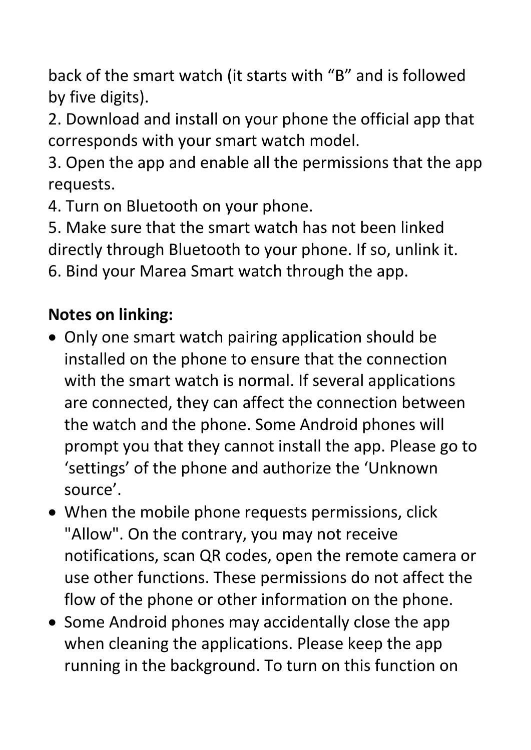back of the smart watch (it starts with "B" and is followed by five digits).

2. Download and install on your phone the official app that corresponds with your smart watch model.

3. Open the app and enable all the permissions that the app requests.

4. Turn on Bluetooth on your phone.

5. Make sure that the smart watch has not been linked directly through Bluetooth to your phone. If so, unlink it. 6. Bind your Marea Smart watch through the app.

# **Notes on linking:**

- Only one smart watch pairing application should be installed on the phone to ensure that the connection with the smart watch is normal. If several applications are connected, they can affect the connection between the watch and the phone. Some Android phones will prompt you that they cannot install the app. Please go to 'settings' of the phone and authorize the 'Unknown source'.
- When the mobile phone requests permissions, click "Allow". On the contrary, you may not receive notifications, scan QR codes, open the remote camera or use other functions. These permissions do not affect the flow of the phone or other information on the phone.
- Some Android phones may accidentally close the app when cleaning the applications. Please keep the app running in the background. To turn on this function on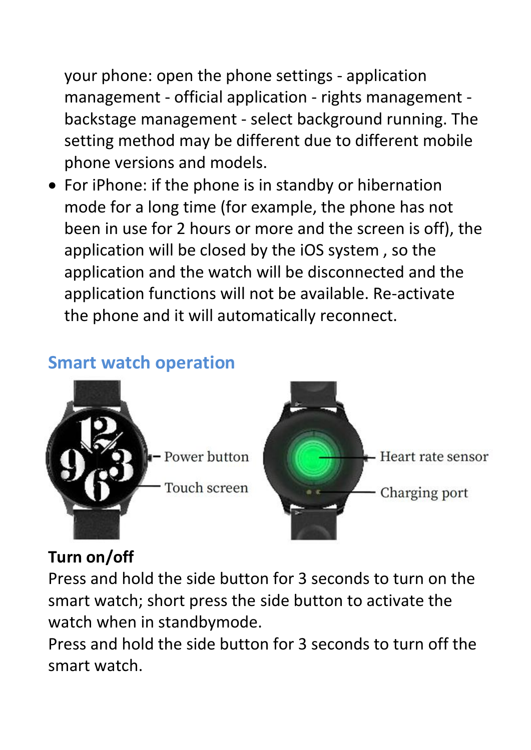your phone: open the phone settings - application management - official application - rights management backstage management - select background running. The setting method may be different due to different mobile phone versions and models.

 For iPhone: if the phone is in standby or hibernation mode for a long time (for example, the phone has not been in use for 2 hours or more and the screen is off), the application will be closed by the iOS system , so the application and the watch will be disconnected and the application functions will not be available. Re-activate the phone and it will automatically reconnect.

# **Smart watch operation**



## **Turn on/off**

Press and hold the side button for 3 seconds to turn on the smart watch; short press the side button to activate the watch when in standbymode.

Press and hold the side button for 3 seconds to turn off the smart watch.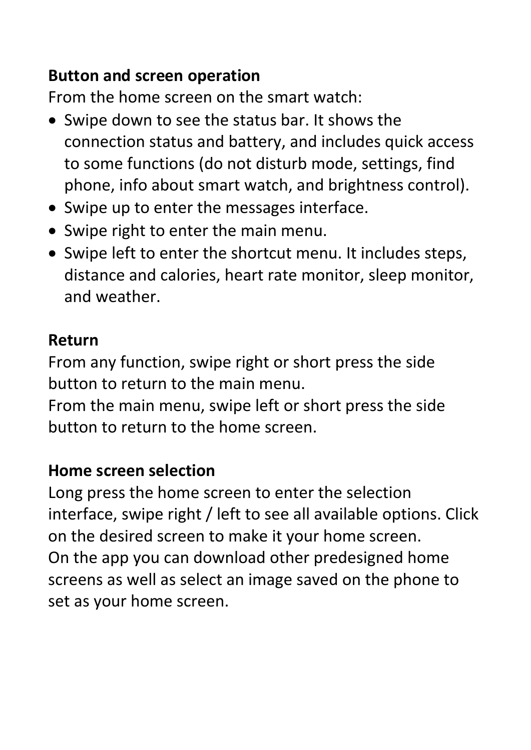# **Button and screen operation**

From the home screen on the smart watch:

- Swipe down to see the status bar. It shows the connection status and battery, and includes quick access to some functions (do not disturb mode, settings, find phone, info about smart watch, and brightness control).
- Swipe up to enter the messages interface.
- Swipe right to enter the main menu.
- Swipe left to enter the shortcut menu. It includes steps, distance and calories, heart rate monitor, sleep monitor, and weather.

#### **Return**

From any function, swipe right or short press the side button to return to the main menu.

From the main menu, swipe left or short press the side button to return to the home screen.

#### **Home screen selection**

Long press the home screen to enter the selection interface, swipe right / left to see all available options. Click on the desired screen to make it your home screen. On the app you can download other predesigned home screens as well as select an image saved on the phone to set as your home screen.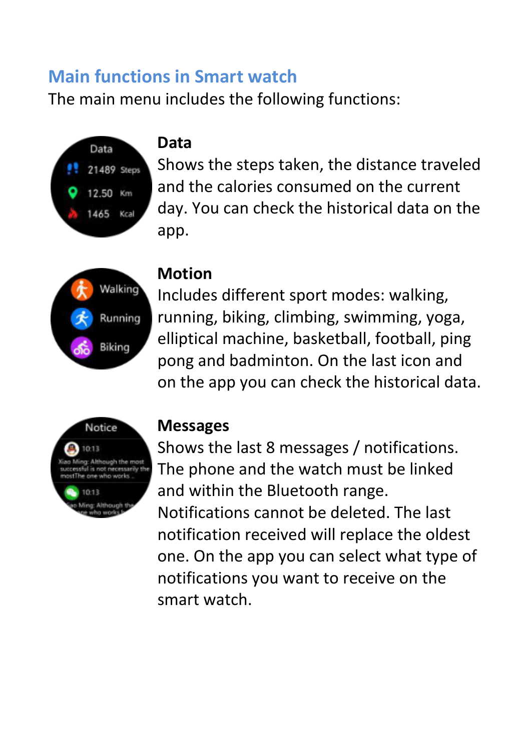# **Main functions in Smart watch**

The main menu includes the following functions:



#### **Data**

Shows the steps taken, the distance traveled and the calories consumed on the current day. You can check the historical data on the app.



#### **Motion**

Includes different sport modes: walking, running, biking, climbing, swimming, yoga, elliptical machine, basketball, football, ping pong and badminton. On the last icon and on the app you can check the historical data.



#### **Messages**

Shows the last 8 messages / notifications. The phone and the watch must be linked and within the Bluetooth range. Notifications cannot be deleted. The last notification received will replace the oldest one. On the app you can select what type of notifications you want to receive on the smart watch.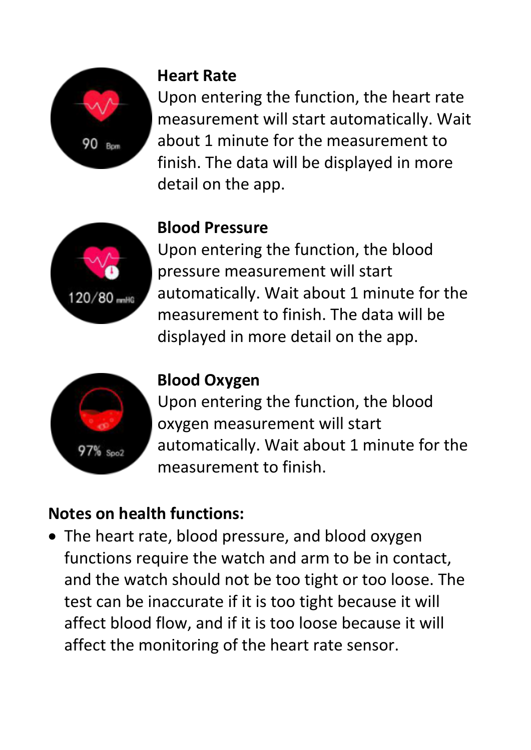

### **Heart Rate**

Upon entering the function, the heart rate measurement will start automatically. Wait about 1 minute for the measurement to finish. The data will be displayed in more detail on the app.



# **Blood Pressure**

Upon entering the function, the blood pressure measurement will start automatically. Wait about 1 minute for the measurement to finish. The data will be displayed in more detail on the app.



# **Blood Oxygen**

Upon entering the function, the blood oxygen measurement will start automatically. Wait about 1 minute for the measurement to finish.

# **Notes on health functions:**

• The heart rate, blood pressure, and blood oxygen functions require the watch and arm to be in contact, and the watch should not be too tight or too loose. The test can be inaccurate if it is too tight because it will affect blood flow, and if it is too loose because it will affect the monitoring of the heart rate sensor.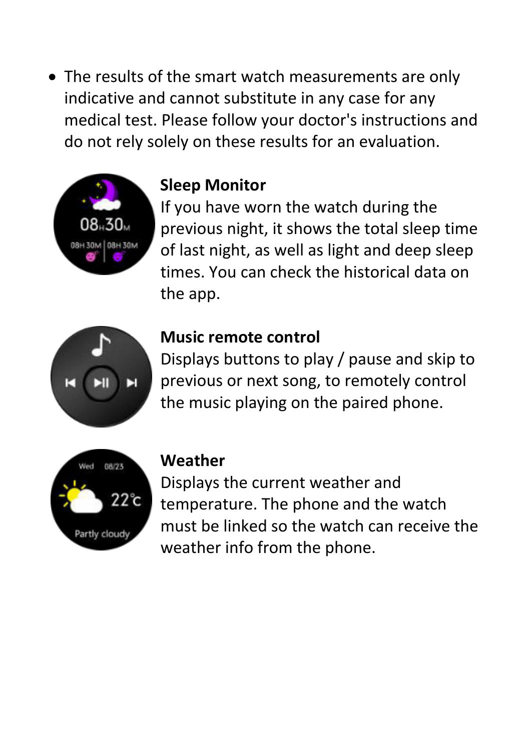• The results of the smart watch measurements are only indicative and cannot substitute in any case for any medical test. Please follow your doctor's instructions and do not rely solely on these results for an evaluation.



#### **Sleep Monitor**

If you have worn the watch during the previous night, it shows the total sleep time of last night, as well as light and deep sleep times. You can check the historical data on the app.



#### **Music remote control**

Displays buttons to play / pause and skip to previous or next song, to remotely control the music playing on the paired phone.



#### **Weather**

Displays the current weather and temperature. The phone and the watch must be linked so the watch can receive the weather info from the phone.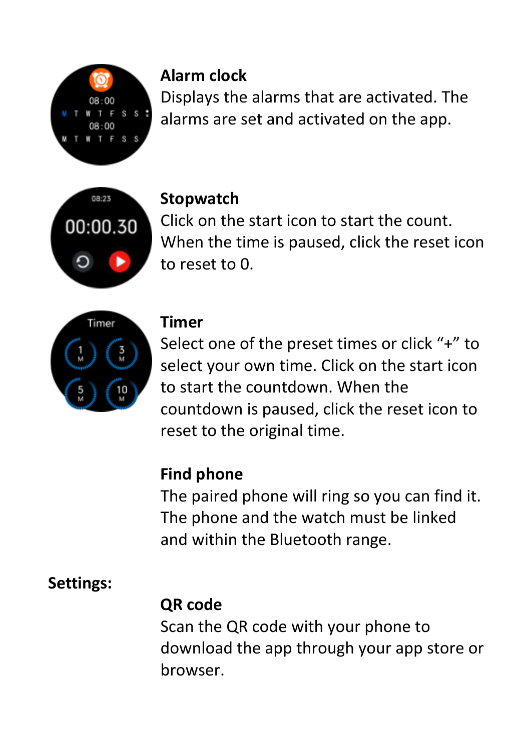

# **Alarm clock**

Displays the alarms that are activated. The alarms are set and activated on the app.



#### **Stopwatch**

Click on the start icon to start the count. When the time is paused, click the reset icon to reset to 0.



### **Timer**

Select one of the preset times or click "+" to select your own time. Click on the start icon to start the countdown. When the countdown is paused, click the reset icon to reset to the original time.

# **Find phone**

The paired phone will ring so you can find it. The phone and the watch must be linked and within the Bluetooth range.

# **Settings:**

# **QR code**

Scan the QR code with your phone to download the app through your app store or browser.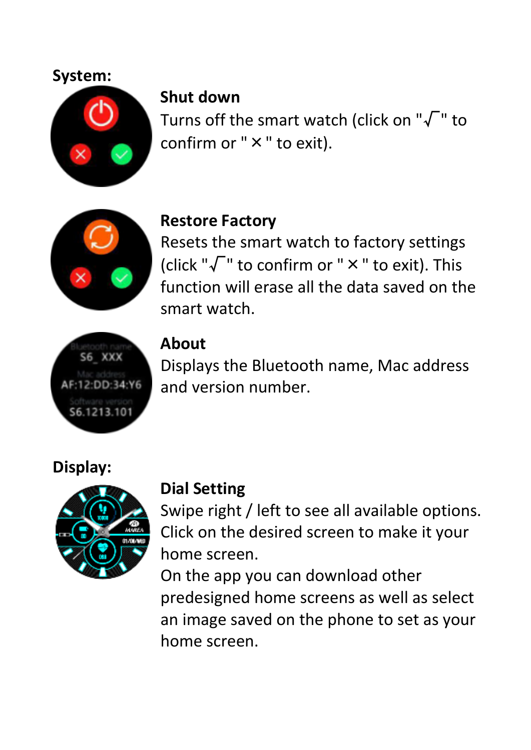#### **System:**



#### **Shut down**

Turns off the smart watch (click on " $\sqrt{\ }$ " to confirm or " $\times$ " to exit).



#### **Restore Factory**

Resets the smart watch to factory settings (click " $\sqrt{\ }$ " to confirm or "  $\times$  " to exit). This function will erase all the data saved on the smart watch.



### **About**

Displays the Bluetooth name, Mac address and version number.

#### **Display:**



#### **Dial Setting**

Swipe right / left to see all available options. Click on the desired screen to make it your home screen.

On the app you can download other predesigned home screens as well as select an image saved on the phone to set as your home screen.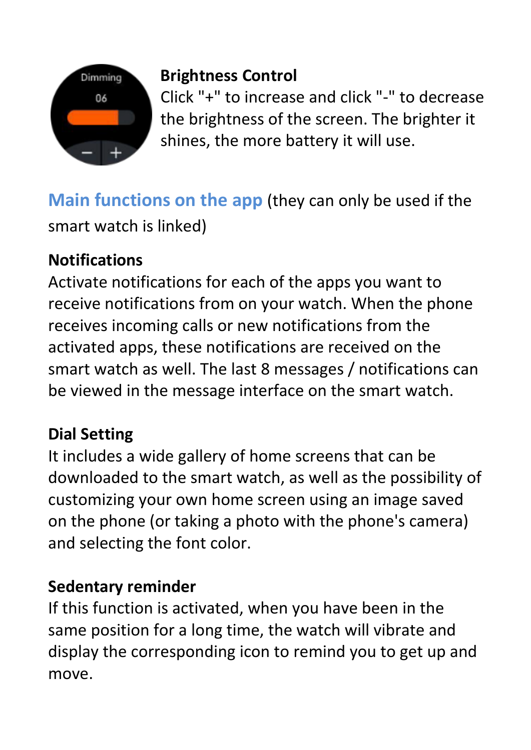

# **Brightness Control**

Click "+" to increase and click "-" to decrease the brightness of the screen. The brighter it shines, the more battery it will use.

**Main functions on the app** (they can only be used if the smart watch is linked)

# **Notifications**

Activate notifications for each of the apps you want to receive notifications from on your watch. When the phone receives incoming calls or new notifications from the activated apps, these notifications are received on the smart watch as well. The last 8 messages / notifications can be viewed in the message interface on the smart watch.

# **Dial Setting**

It includes a wide gallery of home screens that can be downloaded to the smart watch, as well as the possibility of customizing your own home screen using an image saved on the phone (or taking a photo with the phone's camera) and selecting the font color.

# **Sedentary reminder**

If this function is activated, when you have been in the same position for a long time, the watch will vibrate and display the corresponding icon to remind you to get up and move.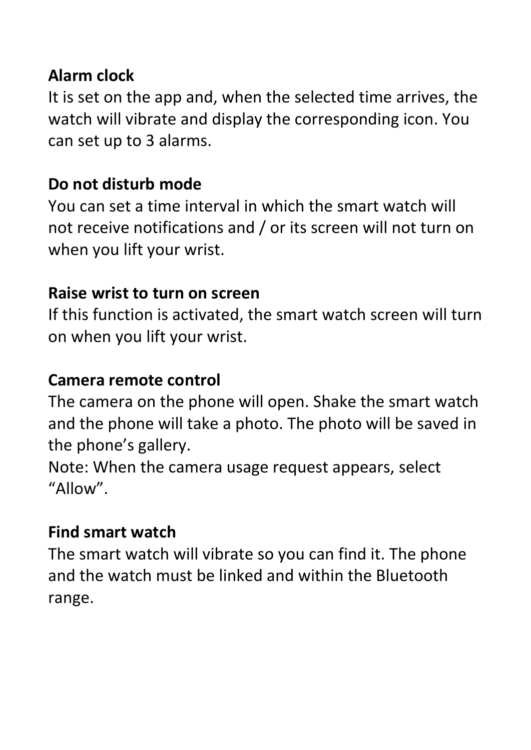### **Alarm clock**

It is set on the app and, when the selected time arrives, the watch will vibrate and display the corresponding icon. You can set up to 3 alarms.

## **Do not disturb mode**

You can set a time interval in which the smart watch will not receive notifications and / or its screen will not turn on when you lift your wrist.

## **Raise wrist to turn on screen**

If this function is activated, the smart watch screen will turn on when you lift your wrist.

### **Camera remote control**

The camera on the phone will open. Shake the smart watch and the phone will take a photo. The photo will be saved in the phone's gallery.

Note: When the camera usage request appears, select "Allow".

## **Find smart watch**

The smart watch will vibrate so you can find it. The phone and the watch must be linked and within the Bluetooth range.